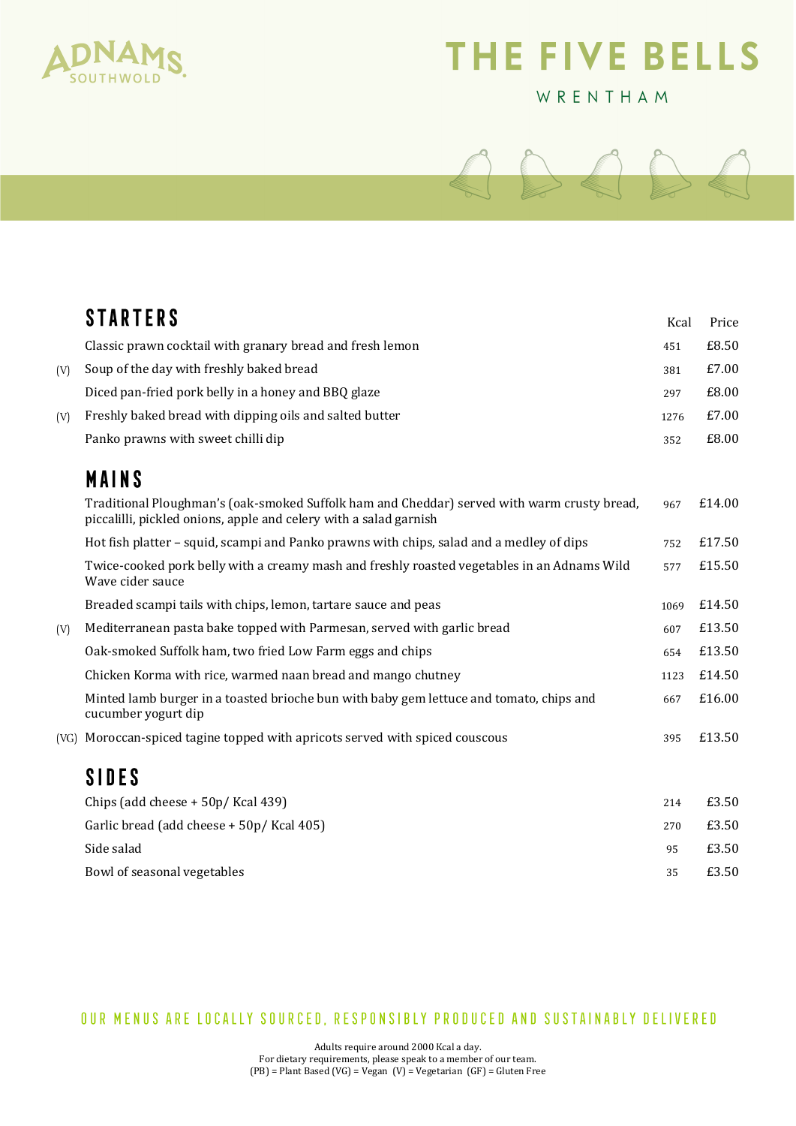

## THE FIVE BELLS

## WRENTHAM



|     | <b>STARTERS</b>                                                                                                                                                  | Kcal | Price  |
|-----|------------------------------------------------------------------------------------------------------------------------------------------------------------------|------|--------|
|     | Classic prawn cocktail with granary bread and fresh lemon                                                                                                        | 451  | £8.50  |
| (V) | Soup of the day with freshly baked bread                                                                                                                         | 381  | £7.00  |
|     | Diced pan-fried pork belly in a honey and BBQ glaze                                                                                                              | 297  | £8.00  |
| (V) | Freshly baked bread with dipping oils and salted butter                                                                                                          | 1276 | £7.00  |
|     | Panko prawns with sweet chilli dip                                                                                                                               | 352  | £8.00  |
|     | <b>MAINS</b>                                                                                                                                                     |      |        |
|     | Traditional Ploughman's (oak-smoked Suffolk ham and Cheddar) served with warm crusty bread,<br>piccalilli, pickled onions, apple and celery with a salad garnish | 967  | £14.00 |
|     | Hot fish platter – squid, scampi and Panko prawns with chips, salad and a medley of dips                                                                         | 752  | £17.50 |
|     | Twice-cooked pork belly with a creamy mash and freshly roasted vegetables in an Adnams Wild<br>Wave cider sauce                                                  | 577  | £15.50 |
|     | Breaded scampi tails with chips, lemon, tartare sauce and peas                                                                                                   | 1069 | £14.50 |
| (V) | Mediterranean pasta bake topped with Parmesan, served with garlic bread                                                                                          | 607  | £13.50 |
|     | Oak-smoked Suffolk ham, two fried Low Farm eggs and chips                                                                                                        | 654  | £13.50 |
|     | Chicken Korma with rice, warmed naan bread and mango chutney                                                                                                     | 1123 | £14.50 |
|     | Minted lamb burger in a toasted brioche bun with baby gem lettuce and tomato, chips and<br>cucumber yogurt dip                                                   | 667  | £16.00 |
|     | (VG) Moroccan-spiced tagine topped with apricots served with spiced couscous                                                                                     | 395  | £13.50 |
|     | <b>SIDES</b>                                                                                                                                                     |      |        |
|     | Chips (add cheese + 50p/ Kcal 439)                                                                                                                               | 214  | £3.50  |
|     | Garlic bread (add cheese + 50p/ Kcal 405)                                                                                                                        | 270  | £3.50  |
|     | Side salad                                                                                                                                                       | 95   | £3.50  |
|     | Bowl of seasonal vegetables                                                                                                                                      | 35   | £3.50  |
|     |                                                                                                                                                                  |      |        |

OUR MENUS ARE LOCALLY SOURCED, RESPONSIBLY PRODUCED AND SUSTAINABLY DELIVERED